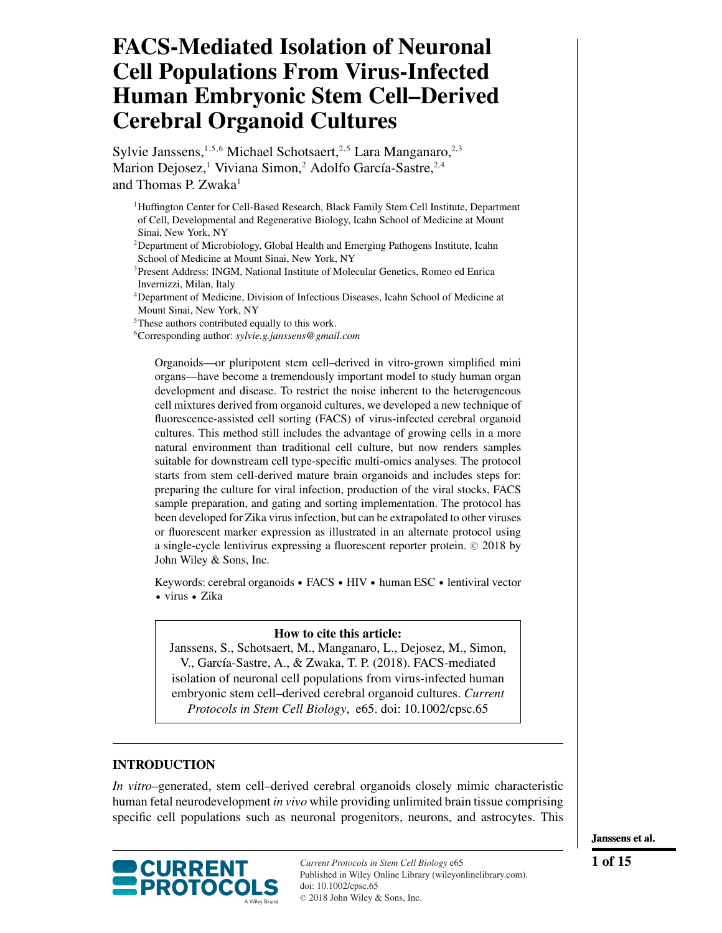# **FACS-Mediated Isolation of Neuronal Cell Populations From Virus-Infected Human Embryonic Stem Cell–Derived Cerebral Organoid Cultures**

Sylvie Janssens,<sup>1,5,6</sup> Michael Schotsaert,<sup>2,5</sup> Lara Manganaro,<sup>2,3</sup> Marion Dejosez,<sup>1</sup> Viviana Simon,<sup>2</sup> Adolfo García-Sastre,<sup>2,4</sup> and Thomas P. Zwaka $<sup>1</sup>$ </sup>

<sup>1</sup>Huffington Center for Cell-Based Research, Black Family Stem Cell Institute, Department of Cell, Developmental and Regenerative Biology, Icahn School of Medicine at Mount Sinai, New York, NY

<sup>2</sup>Department of Microbiology, Global Health and Emerging Pathogens Institute, Icahn School of Medicine at Mount Sinai, New York, NY

<sup>3</sup>Present Address: INGM, National Institute of Molecular Genetics, Romeo ed Enrica Invernizzi, Milan, Italy

4Department of Medicine, Division of Infectious Diseases, Icahn School of Medicine at Mount Sinai, New York, NY

5These authors contributed equally to this work.

6Corresponding author: *sylvie.g.janssens@gmail.com*

Organoids—or pluripotent stem cell–derived in vitro-grown simplified mini organs—have become a tremendously important model to study human organ development and disease. To restrict the noise inherent to the heterogeneous cell mixtures derived from organoid cultures, we developed a new technique of fluorescence-assisted cell sorting (FACS) of virus-infected cerebral organoid cultures. This method still includes the advantage of growing cells in a more natural environment than traditional cell culture, but now renders samples suitable for downstream cell type-specific multi-omics analyses. The protocol starts from stem cell-derived mature brain organoids and includes steps for: preparing the culture for viral infection, production of the viral stocks, FACS sample preparation, and gating and sorting implementation. The protocol has been developed for Zika virus infection, but can be extrapolated to other viruses or fluorescent marker expression as illustrated in an alternate protocol using a single-cycle lentivirus expressing a fluorescent reporter protein. © 2018 by John Wiley & Sons, Inc.

Keywords: cerebral organoids • FACS • HIV • human ESC • lentiviral vector - virus - Zika

## **How to cite this article:**

Janssens, S., Schotsaert, M., Manganaro, L., Dejosez, M., Simon, V., García-Sastre, A., & Zwaka, T. P. (2018). FACS-mediated isolation of neuronal cell populations from virus-infected human embryonic stem cell–derived cerebral organoid cultures. *Current Protocols in Stem Cell Biology*, e65. doi: [10.1002/cpsc.65](https://doi.org/10.1002/cpsc.65)

## **INTRODUCTION**

*In vitro*–generated, stem cell–derived cerebral organoids closely mimic characteristic human fetal neurodevelopment *in vivo* while providing unlimited brain tissue comprising specific cell populations such as neuronal progenitors, neurons, and astrocytes. This



**Janssens et al.**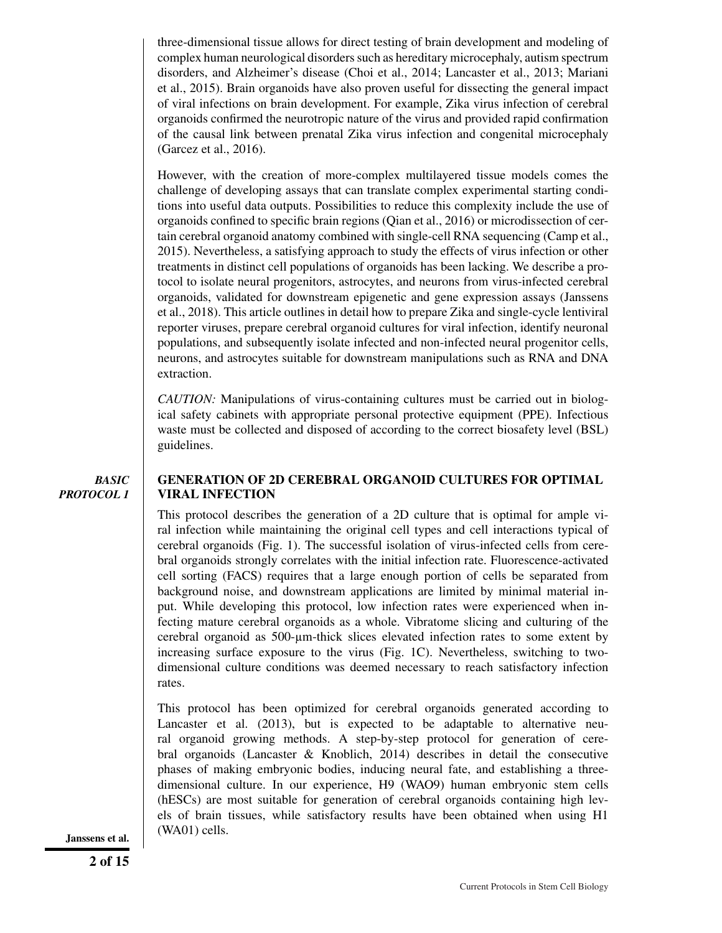three-dimensional tissue allows for direct testing of brain development and modeling of complex human neurological disorders such as hereditary microcephaly, autism spectrum disorders, and Alzheimer's disease (Choi et al., 2014; Lancaster et al., 2013; Mariani et al., 2015). Brain organoids have also proven useful for dissecting the general impact of viral infections on brain development. For example, Zika virus infection of cerebral organoids confirmed the neurotropic nature of the virus and provided rapid confirmation of the causal link between prenatal Zika virus infection and congenital microcephaly (Garcez et al., 2016).

However, with the creation of more-complex multilayered tissue models comes the challenge of developing assays that can translate complex experimental starting conditions into useful data outputs. Possibilities to reduce this complexity include the use of organoids confined to specific brain regions (Qian et al., 2016) or microdissection of certain cerebral organoid anatomy combined with single-cell RNA sequencing (Camp et al., 2015). Nevertheless, a satisfying approach to study the effects of virus infection or other treatments in distinct cell populations of organoids has been lacking. We describe a protocol to isolate neural progenitors, astrocytes, and neurons from virus-infected cerebral organoids, validated for downstream epigenetic and gene expression assays (Janssens et al., 2018). This article outlines in detail how to prepare Zika and single-cycle lentiviral reporter viruses, prepare cerebral organoid cultures for viral infection, identify neuronal populations, and subsequently isolate infected and non-infected neural progenitor cells, neurons, and astrocytes suitable for downstream manipulations such as RNA and DNA extraction.

*CAUTION:* Manipulations of virus-containing cultures must be carried out in biological safety cabinets with appropriate personal protective equipment (PPE). Infectious waste must be collected and disposed of according to the correct biosafety level (BSL) guidelines.

#### *BASIC PROTOCOL 1*

## **GENERATION OF 2D CEREBRAL ORGANOID CULTURES FOR OPTIMAL VIRAL INFECTION**

This protocol describes the generation of a 2D culture that is optimal for ample viral infection while maintaining the original cell types and cell interactions typical of cerebral organoids (Fig. 1). The successful isolation of virus-infected cells from cerebral organoids strongly correlates with the initial infection rate. Fluorescence-activated cell sorting (FACS) requires that a large enough portion of cells be separated from background noise, and downstream applications are limited by minimal material input. While developing this protocol, low infection rates were experienced when infecting mature cerebral organoids as a whole. Vibratome slicing and culturing of the cerebral organoid as 500-µm-thick slices elevated infection rates to some extent by increasing surface exposure to the virus (Fig. 1C). Nevertheless, switching to twodimensional culture conditions was deemed necessary to reach satisfactory infection rates.

This protocol has been optimized for cerebral organoids generated according to Lancaster et al. (2013), but is expected to be adaptable to alternative neural organoid growing methods. A step-by-step protocol for generation of cerebral organoids (Lancaster  $\&$  Knoblich, 2014) describes in detail the consecutive phases of making embryonic bodies, inducing neural fate, and establishing a threedimensional culture. In our experience, H9 (WAO9) human embryonic stem cells (hESCs) are most suitable for generation of cerebral organoids containing high levels of brain tissues, while satisfactory results have been obtained when using H1 Janssens et al. (WA01) cells.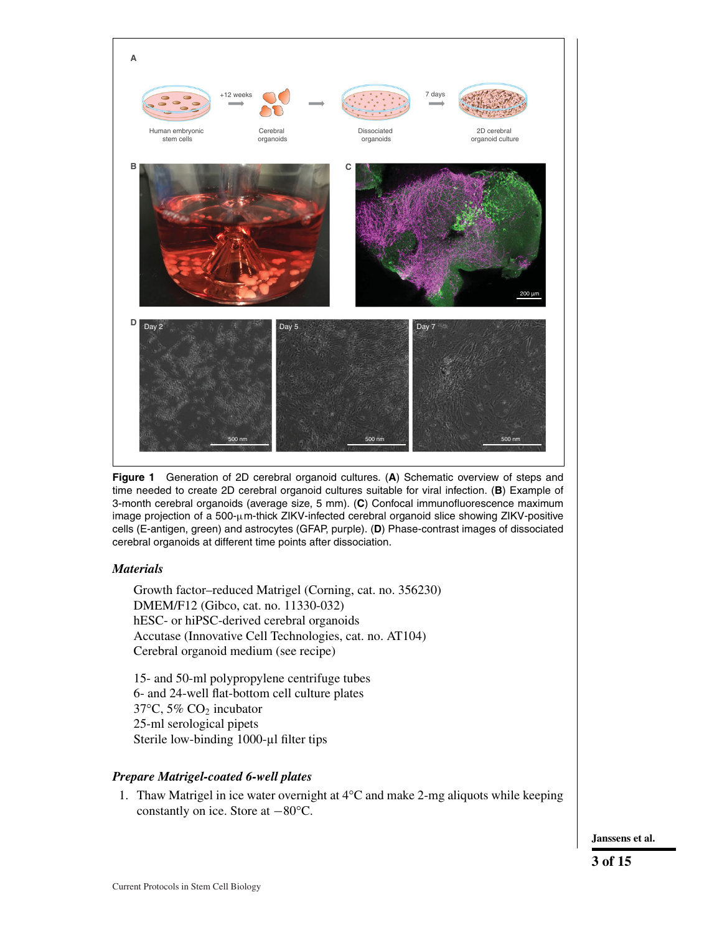

1. Thaw Matrigel in ice water overnight at  $4^{\circ}$ C and make 2-mg aliquots while keeping constantly on ice. Store at −80°C.

**Janssens et al.**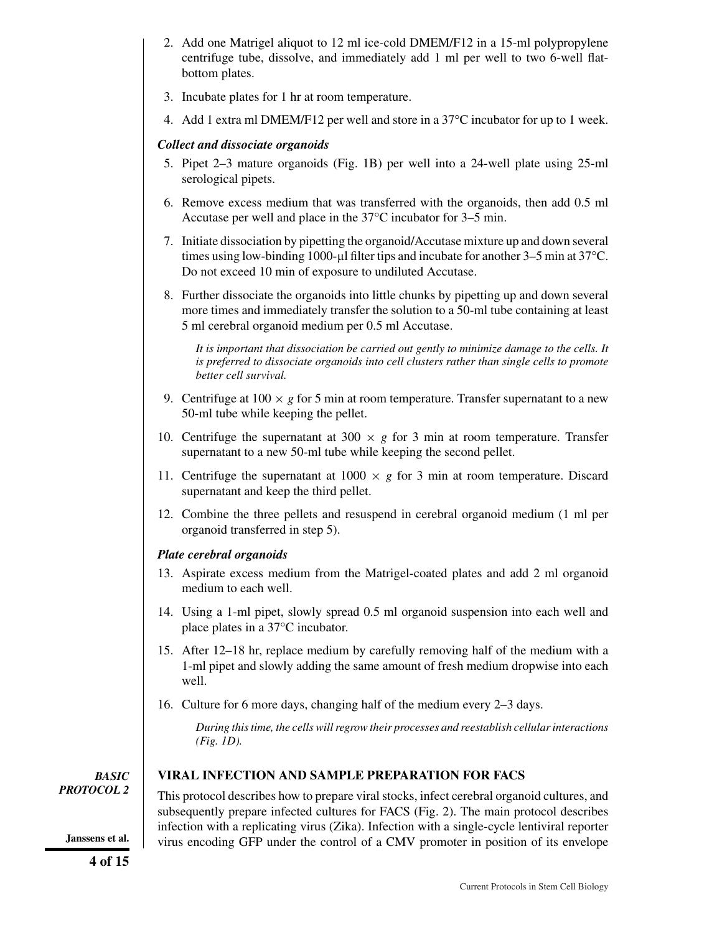- 2. Add one Matrigel aliquot to 12 ml ice-cold DMEM/F12 in a 15-ml polypropylene centrifuge tube, dissolve, and immediately add 1 ml per well to two 6-well flatbottom plates.
- 3. Incubate plates for 1 hr at room temperature.
- 4. Add 1 extra ml DMEM/F12 per well and store in a 37°C incubator for up to 1 week.

# *Collect and dissociate organoids*

- 5. Pipet 2–3 mature organoids (Fig. 1B) per well into a 24-well plate using 25-ml serological pipets.
- 6. Remove excess medium that was transferred with the organoids, then add 0.5 ml Accutase per well and place in the 37°C incubator for 3–5 min.
- 7. Initiate dissociation by pipetting the organoid/Accutase mixture up and down several times using low-binding 1000-µl filter tips and incubate for another 3–5 min at 37°C. Do not exceed 10 min of exposure to undiluted Accutase.
- 8. Further dissociate the organoids into little chunks by pipetting up and down several more times and immediately transfer the solution to a 50-ml tube containing at least 5 ml cerebral organoid medium per 0.5 ml Accutase.

*It is important that dissociation be carried out gently to minimize damage to the cells. It is preferred to dissociate organoids into cell clusters rather than single cells to promote better cell survival.*

- 9. Centrifuge at  $100 \times g$  for 5 min at room temperature. Transfer supernatant to a new 50-ml tube while keeping the pellet.
- 10. Centrifuge the supernatant at  $300 \times g$  for 3 min at room temperature. Transfer supernatant to a new 50-ml tube while keeping the second pellet.
- 11. Centrifuge the supernatant at  $1000 \times g$  for 3 min at room temperature. Discard supernatant and keep the third pellet.
- 12. Combine the three pellets and resuspend in cerebral organoid medium (1 ml per organoid transferred in step 5).

# *Plate cerebral organoids*

- 13. Aspirate excess medium from the Matrigel-coated plates and add 2 ml organoid medium to each well.
- 14. Using a 1-ml pipet, slowly spread 0.5 ml organoid suspension into each well and place plates in a 37°C incubator.
- 15. After 12–18 hr, replace medium by carefully removing half of the medium with a 1-ml pipet and slowly adding the same amount of fresh medium dropwise into each well.
- 16. Culture for 6 more days, changing half of the medium every 2–3 days.

*During this time, the cells will regrow their processes and reestablish cellular interactions (Fig. 1D).*

*BASIC PROTOCOL 2*

## **VIRAL INFECTION AND SAMPLE PREPARATION FOR FACS**

This protocol describes how to prepare viral stocks, infect cerebral organoid cultures, and subsequently prepare infected cultures for FACS (Fig. 2). The main protocol describes infection with a replicating virus (Zika). Infection with a single-cycle lentiviral reporter Janssens et al. virus encoding GFP under the control of a CMV promoter in position of its envelope

**4 of 15**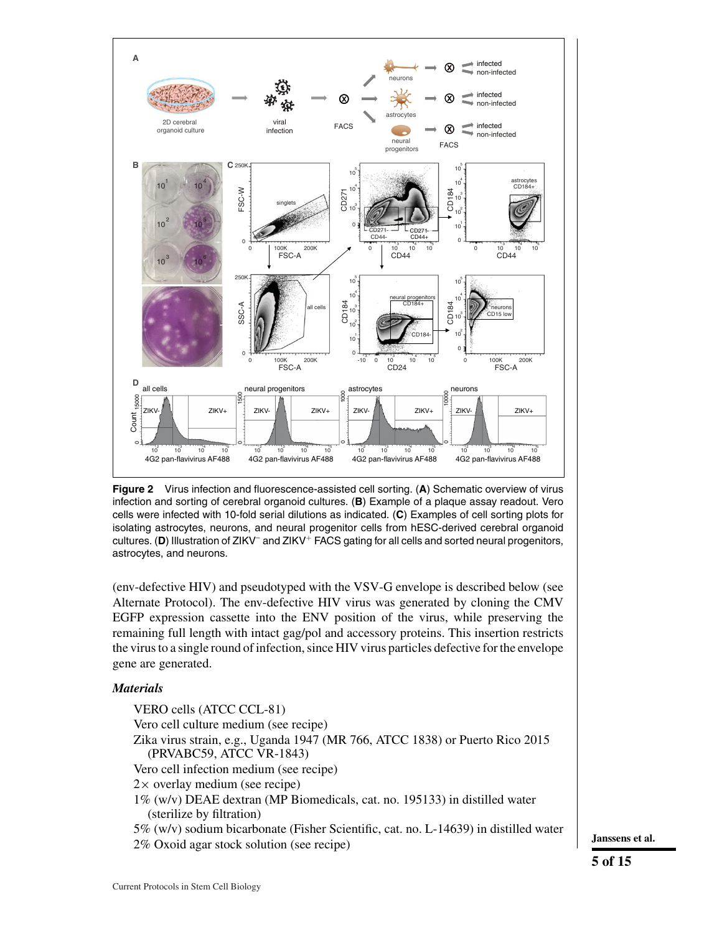

**Figure 2** Virus infection and fluorescence-assisted cell sorting. (**A**) Schematic overview of virus infection and sorting of cerebral organoid cultures. (**B**) Example of a plaque assay readout. Vero cells were infected with 10-fold serial dilutions as indicated. (**C**) Examples of cell sorting plots for isolating astrocytes, neurons, and neural progenitor cells from hESC-derived cerebral organoid cultures. (**D**) Illustration of ZIKV– and ZIKV<sup>+</sup> FACS gating for all cells and sorted neural progenitors, astrocytes, and neurons.

(env-defective HIV) and pseudotyped with the VSV-G envelope is described below (see Alternate Protocol). The env-defective HIV virus was generated by cloning the CMV EGFP expression cassette into the ENV position of the virus, while preserving the remaining full length with intact gag/pol and accessory proteins. This insertion restricts the virus to a single round of infection, since HIV virus particles defective for the envelope gene are generated.

## *Materials*

VERO cells (ATCC CCL-81) Vero cell culture medium (see recipe) Zika virus strain, e.g., Uganda 1947 (MR 766, ATCC 1838) or Puerto Rico 2015 (PRVABC59, ATCC VR-1843) Vero cell infection medium (see recipe)  $2 \times$  overlay medium (see recipe) 1% (w/v) DEAE dextran (MP Biomedicals, cat. no. 195133) in distilled water (sterilize by filtration) 5% (w/v) sodium bicarbonate (Fisher Scientific, cat. no. L-14639) in distilled water 2% Oxoid agar stock solution (see recipe) **Janssens et al.**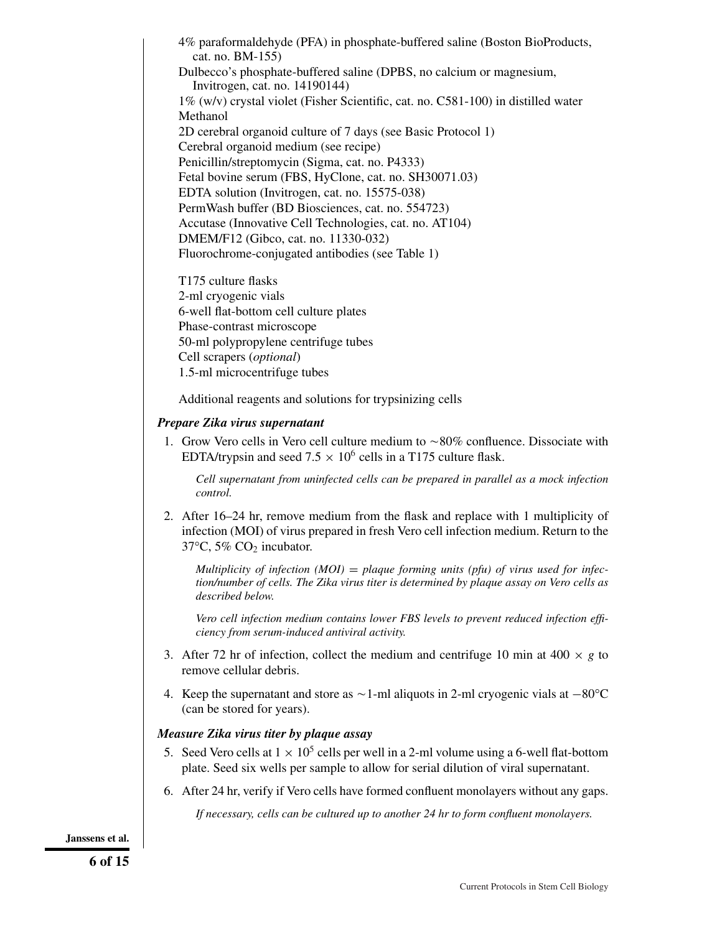4% paraformaldehyde (PFA) in phosphate-buffered saline (Boston BioProducts, cat. no. BM-155) Dulbecco's phosphate-buffered saline (DPBS, no calcium or magnesium, Invitrogen, cat. no. 14190144) 1% (w/v) crystal violet (Fisher Scientific, cat. no. C581-100) in distilled water Methanol 2D cerebral organoid culture of 7 days (see Basic Protocol 1) Cerebral organoid medium (see recipe) Penicillin/streptomycin (Sigma, cat. no. P4333) Fetal bovine serum (FBS, HyClone, cat. no. SH30071.03) EDTA solution (Invitrogen, cat. no. 15575-038) PermWash buffer (BD Biosciences, cat. no. 554723) Accutase (Innovative Cell Technologies, cat. no. AT104) DMEM/F12 (Gibco, cat. no. 11330-032) Fluorochrome-conjugated antibodies (see Table 1)

T175 culture flasks 2-ml cryogenic vials 6-well flat-bottom cell culture plates Phase-contrast microscope 50-ml polypropylene centrifuge tubes Cell scrapers (*optional*) 1.5-ml microcentrifuge tubes

Additional reagents and solutions for trypsinizing cells

## *Prepare Zika virus supernatant*

1. Grow Vero cells in Vero cell culture medium to  $\sim 80\%$  confluence. Dissociate with EDTA/trypsin and seed 7.5  $\times$  10<sup>6</sup> cells in a T175 culture flask.

*Cell supernatant from uninfected cells can be prepared in parallel as a mock infection control.*

2. After 16–24 hr, remove medium from the flask and replace with 1 multiplicity of infection (MOI) of virus prepared in fresh Vero cell infection medium. Return to the  $37^{\circ}$ C,  $5\%$  CO<sub>2</sub> incubator.

*Multiplicity of infection (MOI)* = *plaque forming units (pfu) of virus used for infection/number of cells. The Zika virus titer is determined by plaque assay on Vero cells as described below.*

*Vero cell infection medium contains lower FBS levels to prevent reduced infection efficiency from serum-induced antiviral activity.*

- 3. After 72 hr of infection, collect the medium and centrifuge 10 min at 400  $\times$  *g* to remove cellular debris.
- 4. Keep the supernatant and store as  $\sim$  1-ml aliquots in 2-ml cryogenic vials at  $-80^{\circ}$ C (can be stored for years).

## *Measure Zika virus titer by plaque assay*

- 5. Seed Vero cells at  $1 \times 10^5$  cells per well in a 2-ml volume using a 6-well flat-bottom plate. Seed six wells per sample to allow for serial dilution of viral supernatant.
- 6. After 24 hr, verify if Vero cells have formed confluent monolayers without any gaps.

*If necessary, cells can be cultured up to another 24 hr to form confluent monolayers.*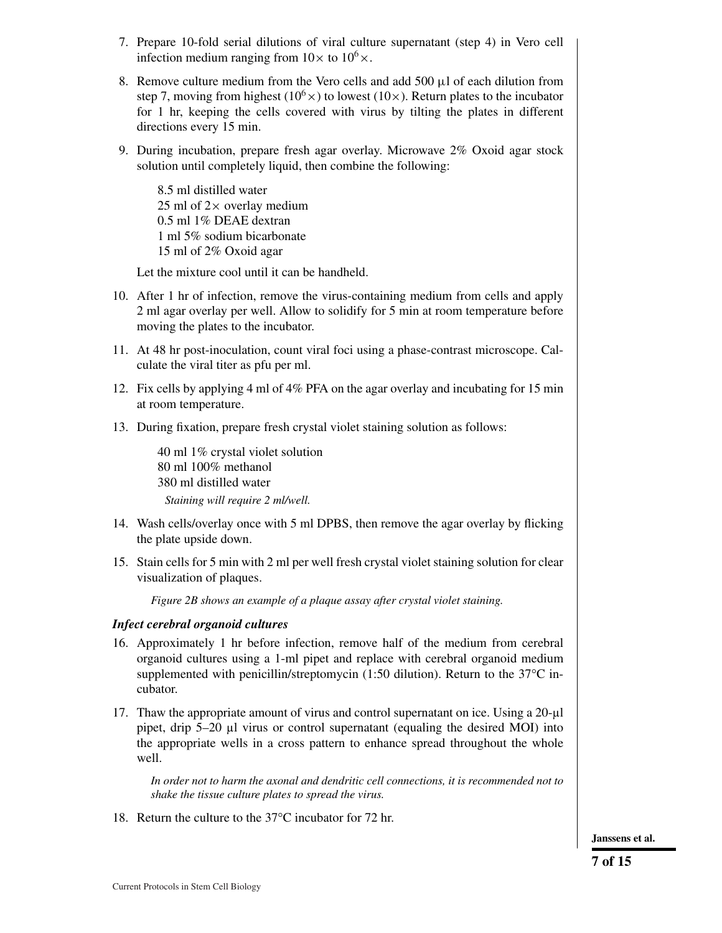- 7. Prepare 10-fold serial dilutions of viral culture supernatant (step 4) in Vero cell infection medium ranging from  $10 \times$  to  $10^6 \times$ .
- 8. Remove culture medium from the Vero cells and add 500  $\mu$ l of each dilution from step 7, moving from highest ( $10<sup>6</sup>$ ) to lowest ( $10 \times$ ). Return plates to the incubator for 1 hr, keeping the cells covered with virus by tilting the plates in different directions every 15 min.
- 9. During incubation, prepare fresh agar overlay. Microwave 2% Oxoid agar stock solution until completely liquid, then combine the following:

8.5 ml distilled water 25 ml of  $2\times$  overlay medium 0.5 ml 1% DEAE dextran 1 ml 5% sodium bicarbonate 15 ml of 2% Oxoid agar

Let the mixture cool until it can be handheld.

- 10. After 1 hr of infection, remove the virus-containing medium from cells and apply 2 ml agar overlay per well. Allow to solidify for 5 min at room temperature before moving the plates to the incubator.
- 11. At 48 hr post-inoculation, count viral foci using a phase-contrast microscope. Calculate the viral titer as pfu per ml.
- 12. Fix cells by applying 4 ml of 4% PFA on the agar overlay and incubating for 15 min at room temperature.
- 13. During fixation, prepare fresh crystal violet staining solution as follows:

40 ml 1% crystal violet solution 80 ml 100% methanol 380 ml distilled water *Staining will require 2 ml/well.*

- 14. Wash cells/overlay once with 5 ml DPBS, then remove the agar overlay by flicking the plate upside down.
- 15. Stain cells for 5 min with 2 ml per well fresh crystal violet staining solution for clear visualization of plaques.

*Figure 2B shows an example of a plaque assay after crystal violet staining.*

## *Infect cerebral organoid cultures*

- 16. Approximately 1 hr before infection, remove half of the medium from cerebral organoid cultures using a 1-ml pipet and replace with cerebral organoid medium supplemented with penicillin/streptomycin (1:50 dilution). Return to the 37°C incubator.
- 17. Thaw the appropriate amount of virus and control supernatant on ice. Using a 20-µl pipet, drip 5–20 µl virus or control supernatant (equaling the desired MOI) into the appropriate wells in a cross pattern to enhance spread throughout the whole well.

*In order not to harm the axonal and dendritic cell connections, it is recommended not to shake the tissue culture plates to spread the virus.*

18. Return the culture to the 37°C incubator for 72 hr.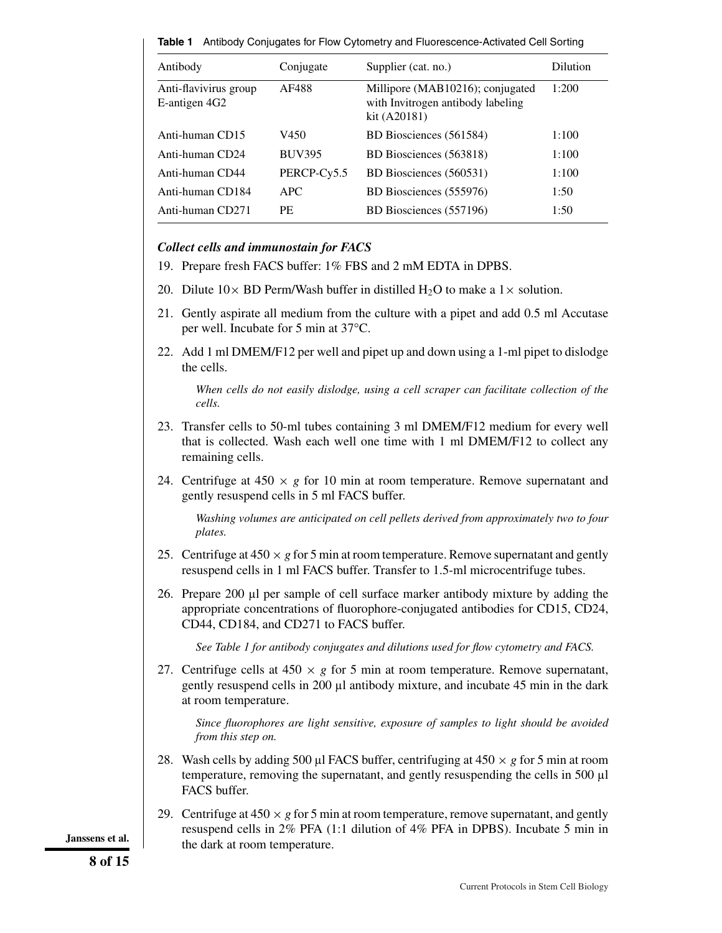**Table 1** Antibody Conjugates for Flow Cytometry and Fluorescence-Activated Cell Sorting

| Antibody                               | Conjugate     | Supplier (cat. no.)                                                                   | Dilution |
|----------------------------------------|---------------|---------------------------------------------------------------------------------------|----------|
| Anti-flavivirus group<br>E-antigen 4G2 | AF488         | Millipore (MAB10216); conjugated<br>with Invitrogen antibody labeling<br>kit (A20181) | 1:200    |
| Anti-human CD15                        | V450          | BD Biosciences (561584)                                                               | 1:100    |
| Anti-human CD24                        | <b>BUV395</b> | BD Biosciences (563818)                                                               | 1:100    |
| Anti-human CD44                        | PERCP-Cy5.5   | BD Biosciences (560531)                                                               | 1:100    |
| Anti-human CD184                       | APC           | BD Biosciences (555976)                                                               | 1:50     |
| Anti-human CD271                       | PF.           | BD Biosciences (557196)                                                               | 1:50     |

## *Collect cells and immunostain for FACS*

- 19. Prepare fresh FACS buffer: 1% FBS and 2 mM EDTA in DPBS.
- 20. Dilute  $10 \times BD$  Perm/Wash buffer in distilled H<sub>2</sub>O to make a  $1 \times$  solution.
- 21. Gently aspirate all medium from the culture with a pipet and add 0.5 ml Accutase per well. Incubate for 5 min at 37°C.
- 22. Add 1 ml DMEM/F12 per well and pipet up and down using a 1-ml pipet to dislodge the cells.

*When cells do not easily dislodge, using a cell scraper can facilitate collection of the cells.*

- 23. Transfer cells to 50-ml tubes containing 3 ml DMEM/F12 medium for every well that is collected. Wash each well one time with 1 ml DMEM/F12 to collect any remaining cells.
- 24. Centrifuge at  $450 \times g$  for 10 min at room temperature. Remove supernatant and gently resuspend cells in 5 ml FACS buffer.

*Washing volumes are anticipated on cell pellets derived from approximately two to four plates.*

- 25. Centrifuge at  $450 \times g$  for 5 min at room temperature. Remove supernatant and gently resuspend cells in 1 ml FACS buffer. Transfer to 1.5-ml microcentrifuge tubes.
- 26. Prepare 200 µl per sample of cell surface marker antibody mixture by adding the appropriate concentrations of fluorophore-conjugated antibodies for CD15, CD24, CD44, CD184, and CD271 to FACS buffer.

*See Table 1 for antibody conjugates and dilutions used for flow cytometry and FACS.*

27. Centrifuge cells at  $450 \times g$  for 5 min at room temperature. Remove supernatant, gently resuspend cells in  $200 \mu l$  antibody mixture, and incubate 45 min in the dark at room temperature.

*Since fluorophores are light sensitive, exposure of samples to light should be avoided from this step on.*

- 28. Wash cells by adding 500  $\mu$ l FACS buffer, centrifuging at 450  $\times$  *g* for 5 min at room temperature, removing the supernatant, and gently resuspending the cells in 500 µl FACS buffer.
- 29. Centrifuge at  $450 \times g$  for 5 min at room temperature, remove supernatant, and gently resuspend cells in 2% PFA (1:1 dilution of 4% PFA in DPBS). Incubate 5 min in **Janssens et al. the dark at room temperature.**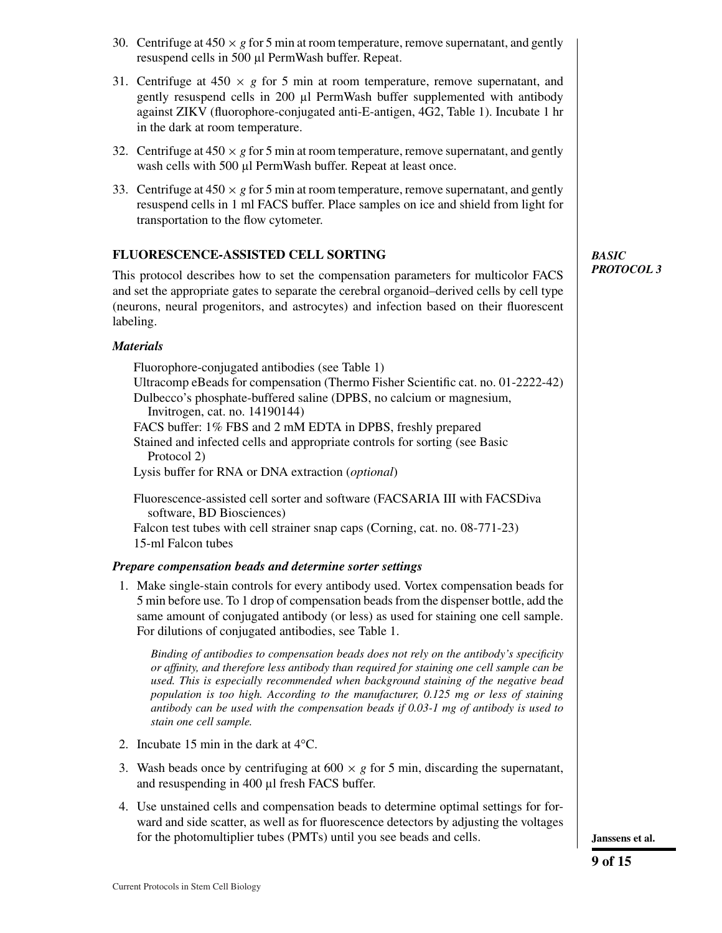- 30. Centrifuge at  $450 \times g$  for 5 min at room temperature, remove supernatant, and gently resuspend cells in 500 µl PermWash buffer. Repeat.
- 31. Centrifuge at  $450 \times g$  for 5 min at room temperature, remove supernatant, and gently resuspend cells in 200 µl PermWash buffer supplemented with antibody against ZIKV (fluorophore-conjugated anti-E-antigen, 4G2, Table 1). Incubate 1 hr in the dark at room temperature.
- 32. Centrifuge at  $450 \times g$  for 5 min at room temperature, remove supernatant, and gently wash cells with 500 µl PermWash buffer. Repeat at least once.
- 33. Centrifuge at  $450 \times g$  for 5 min at room temperature, remove supernatant, and gently resuspend cells in 1 ml FACS buffer. Place samples on ice and shield from light for transportation to the flow cytometer.

# **FLUORESCENCE-ASSISTED CELL SORTING**

This protocol describes how to set the compensation parameters for multicolor FACS and set the appropriate gates to separate the cerebral organoid–derived cells by cell type (neurons, neural progenitors, and astrocytes) and infection based on their fluorescent labeling.

# *Materials*

Fluorophore-conjugated antibodies (see Table 1) Ultracomp eBeads for compensation (Thermo Fisher Scientific cat. no. 01-2222-42) Dulbecco's phosphate-buffered saline (DPBS, no calcium or magnesium, Invitrogen, cat. no. 14190144) FACS buffer: 1% FBS and 2 mM EDTA in DPBS, freshly prepared Stained and infected cells and appropriate controls for sorting (see Basic Protocol 2) Lysis buffer for RNA or DNA extraction (*optional*)

Fluorescence-assisted cell sorter and software (FACSARIA III with FACSDiva software, BD Biosciences) Falcon test tubes with cell strainer snap caps (Corning, cat. no. 08-771-23) 15-ml Falcon tubes

# *Prepare compensation beads and determine sorter settings*

1. Make single-stain controls for every antibody used. Vortex compensation beads for 5 min before use. To 1 drop of compensation beads from the dispenser bottle, add the same amount of conjugated antibody (or less) as used for staining one cell sample. For dilutions of conjugated antibodies, see Table 1.

*Binding of antibodies to compensation beads does not rely on the antibody's specificity or affinity, and therefore less antibody than required for staining one cell sample can be used. This is especially recommended when background staining of the negative bead population is too high. According to the manufacturer, 0.125 mg or less of staining antibody can be used with the compensation beads if 0.03-1 mg of antibody is used to stain one cell sample.*

- 2. Incubate 15 min in the dark at 4°C.
- 3. Wash beads once by centrifuging at  $600 \times g$  for 5 min, discarding the supernatant, and resuspending in 400 µl fresh FACS buffer.
- 4. Use unstained cells and compensation beads to determine optimal settings for forward and side scatter, as well as for fluorescence detectors by adjusting the voltages for the photomultiplier tubes (PMTs) until you see beads and cells. **Janssens et al.**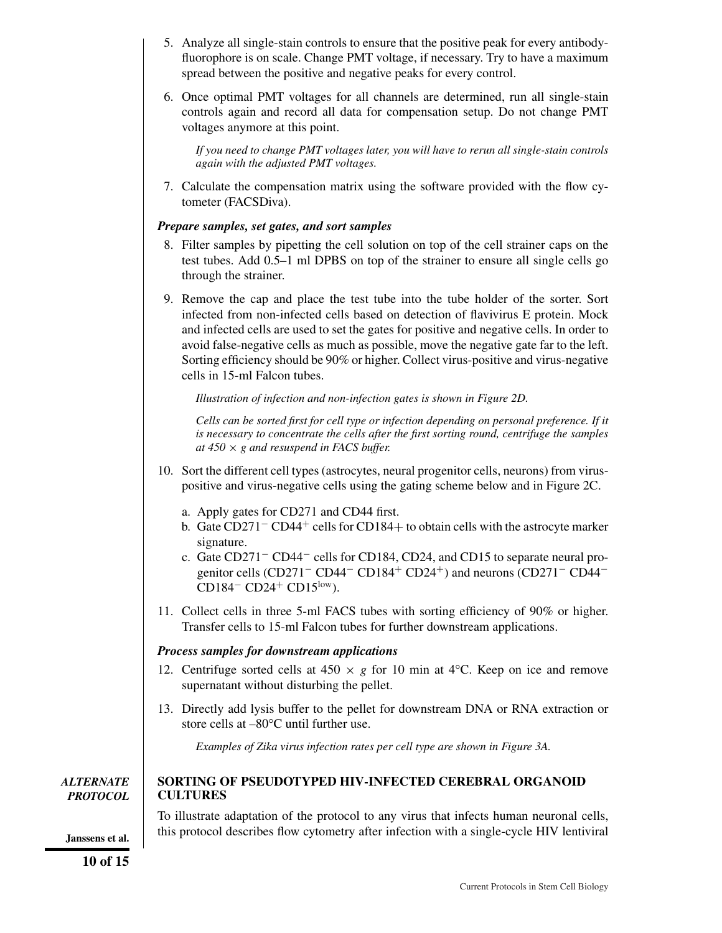- 5. Analyze all single-stain controls to ensure that the positive peak for every antibodyfluorophore is on scale. Change PMT voltage, if necessary. Try to have a maximum spread between the positive and negative peaks for every control.
- 6. Once optimal PMT voltages for all channels are determined, run all single-stain controls again and record all data for compensation setup. Do not change PMT voltages anymore at this point.

*If you need to change PMT voltages later, you will have to rerun all single-stain controls again with the adjusted PMT voltages.*

7. Calculate the compensation matrix using the software provided with the flow cytometer (FACSDiva).

## *Prepare samples, set gates, and sort samples*

- 8. Filter samples by pipetting the cell solution on top of the cell strainer caps on the test tubes. Add 0.5–1 ml DPBS on top of the strainer to ensure all single cells go through the strainer.
- 9. Remove the cap and place the test tube into the tube holder of the sorter. Sort infected from non-infected cells based on detection of flavivirus E protein. Mock and infected cells are used to set the gates for positive and negative cells. In order to avoid false-negative cells as much as possible, move the negative gate far to the left. Sorting efficiency should be 90% or higher. Collect virus-positive and virus-negative cells in 15-ml Falcon tubes.

*Illustration of infection and non-infection gates is shown in Figure 2D.*

*Cells can be sorted first for cell type or infection depending on personal preference. If it is necessary to concentrate the cells after the first sorting round, centrifuge the samples at 450* × *g and resuspend in FACS buffer.*

- 10. Sort the different cell types (astrocytes, neural progenitor cells, neurons) from viruspositive and virus-negative cells using the gating scheme below and in Figure 2C.
	- a. Apply gates for CD271 and CD44 first.
	- b. Gate CD271<sup>−</sup> CD44<sup>+</sup> cells for CD184+ to obtain cells with the astrocyte marker signature.
	- c. Gate CD271− CD44− cells for CD184, CD24, and CD15 to separate neural progenitor cells (CD271<sup>–</sup> CD44<sup>–</sup> CD184<sup>+</sup> CD24<sup>+</sup>) and neurons (CD271<sup>–</sup> CD44<sup>–</sup> CD184<sup>–</sup> CD24<sup>+</sup> CD15<sup>low</sup>).
- 11. Collect cells in three 5-ml FACS tubes with sorting efficiency of 90% or higher. Transfer cells to 15-ml Falcon tubes for further downstream applications.

## *Process samples for downstream applications*

- 12. Centrifuge sorted cells at  $450 \times g$  for 10 min at  $4^{\circ}$ C. Keep on ice and remove supernatant without disturbing the pellet.
- 13. Directly add lysis buffer to the pellet for downstream DNA or RNA extraction or store cells at –80°C until further use.

*Examples of Zika virus infection rates per cell type are shown in Figure 3A.*

*ALTERNATE PROTOCOL*

## **SORTING OF PSEUDOTYPED HIV-INFECTED CEREBRAL ORGANOID CULTURES**

To illustrate adaptation of the protocol to any virus that infects human neuronal cells, this protocol describes flow cytometry after infection with a single-cycle HIV lentiviral **Janssens et al.**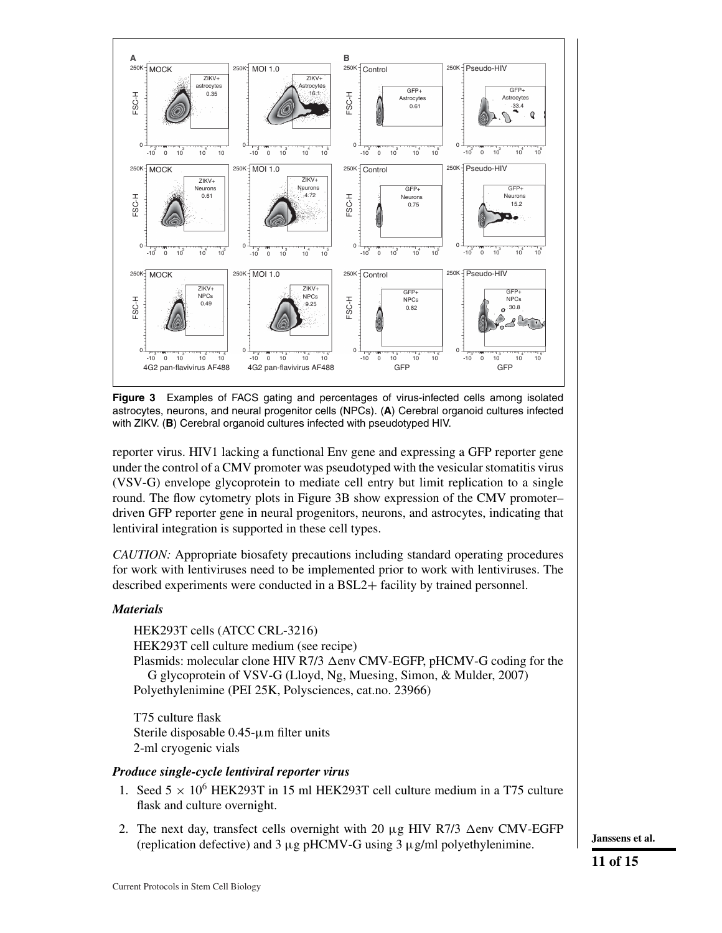

**Figure 3** Examples of FACS gating and percentages of virus-infected cells among isolated astrocytes, neurons, and neural progenitor cells (NPCs). (**A**) Cerebral organoid cultures infected with ZIKV. (**B**) Cerebral organoid cultures infected with pseudotyped HIV.

reporter virus. HIV1 lacking a functional Env gene and expressing a GFP reporter gene under the control of a CMV promoter was pseudotyped with the vesicular stomatitis virus (VSV-G) envelope glycoprotein to mediate cell entry but limit replication to a single round. The flow cytometry plots in Figure 3B show expression of the CMV promoter– driven GFP reporter gene in neural progenitors, neurons, and astrocytes, indicating that lentiviral integration is supported in these cell types.

*CAUTION:* Appropriate biosafety precautions including standard operating procedures for work with lentiviruses need to be implemented prior to work with lentiviruses. The described experiments were conducted in a BSL2+ facility by trained personnel.

## *Materials*

HEK293T cells (ATCC CRL-3216) HEK293T cell culture medium (see recipe) Plasmids: molecular clone HIV R7/3  $\Delta$ env CMV-EGFP, pHCMV-G coding for the G glycoprotein of VSV-G (Lloyd, Ng, Muesing, Simon, & Mulder, 2007) Polyethylenimine (PEI 25K, Polysciences, cat.no. 23966)

T75 culture flask Sterile disposable 0.45-μm filter units 2-ml cryogenic vials

## *Produce single-cycle lentiviral reporter virus*

- 1. Seed  $5 \times 10^6$  HEK293T in 15 ml HEK293T cell culture medium in a T75 culture flask and culture overnight.
- 2. The next day, transfect cells overnight with 20  $\mu$ g HIV R7/3  $\Delta$ env CMV-EGFP (replication defective) and 3  $\mu$ g pHCMV-G using 3  $\mu$ g/ml polyethylenimine. **J** Janssens et al.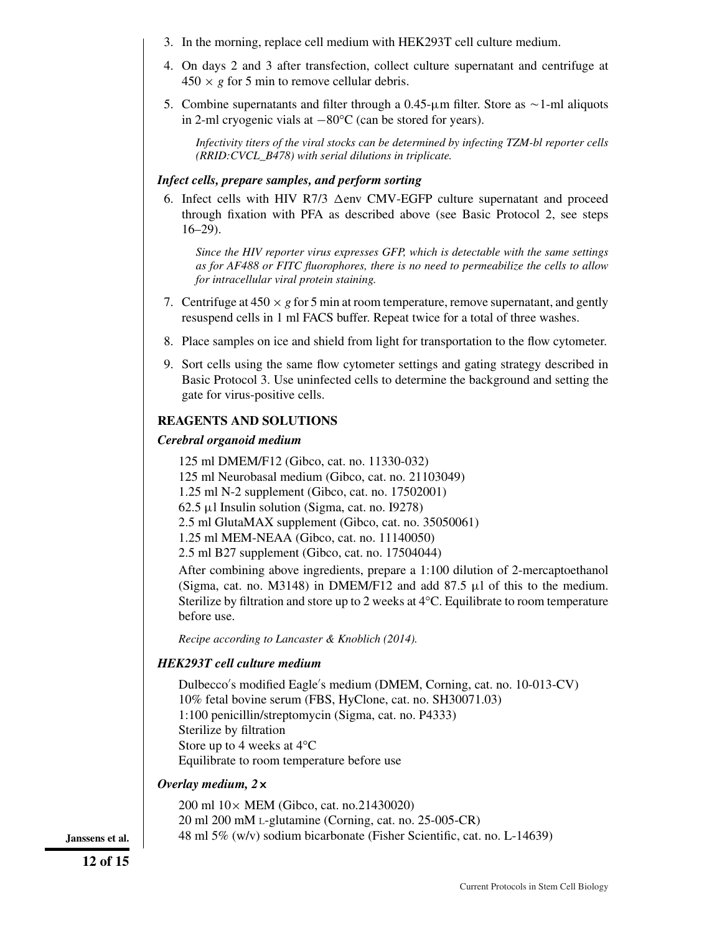- 3. In the morning, replace cell medium with HEK293T cell culture medium.
- 4. On days 2 and 3 after transfection, collect culture supernatant and centrifuge at  $450 \times g$  for 5 min to remove cellular debris.
- 5. Combine supernatants and filter through a  $0.45$ - $\mu$ m filter. Store as  $\sim$ 1-ml aliquots in 2-ml cryogenic vials at −80°C (can be stored for years).

*Infectivity titers of the viral stocks can be determined by infecting TZM-bl reporter cells (RRID:CVCL\_B478) with serial dilutions in triplicate.*

## *Infect cells, prepare samples, and perform sorting*

6. Infect cells with HIV R7/3  $\Delta$ env CMV-EGFP culture supernatant and proceed through fixation with PFA as described above (see Basic Protocol 2, see steps 16–29).

*Since the HIV reporter virus expresses GFP, which is detectable with the same settings as for AF488 or FITC fluorophores, there is no need to permeabilize the cells to allow for intracellular viral protein staining.*

- 7. Centrifuge at  $450 \times g$  for 5 min at room temperature, remove supernatant, and gently resuspend cells in 1 ml FACS buffer. Repeat twice for a total of three washes.
- 8. Place samples on ice and shield from light for transportation to the flow cytometer.
- 9. Sort cells using the same flow cytometer settings and gating strategy described in Basic Protocol 3. Use uninfected cells to determine the background and setting the gate for virus-positive cells.

## **REAGENTS AND SOLUTIONS**

## *Cerebral organoid medium*

125 ml DMEM/F12 (Gibco, cat. no. 11330-032) 125 ml Neurobasal medium (Gibco, cat. no. 21103049) 1.25 ml N-2 supplement (Gibco, cat. no. 17502001) 62.5 μl Insulin solution (Sigma, cat. no. I9278) 2.5 ml GlutaMAX supplement (Gibco, cat. no. 35050061) 1.25 ml MEM-NEAA (Gibco, cat. no. 11140050) 2.5 ml B27 supplement (Gibco, cat. no. 17504044) After combining above ingredients, prepare a 1:100 dilution of 2-mercaptoethanol (Sigma, cat. no. M3148) in DMEM/F12 and add 87.5  $\mu$ l of this to the medium. Sterilize by filtration and store up to 2 weeks at 4°C. Equilibrate to room temperature before use.

*Recipe according to Lancaster & Knoblich (2014).*

## *HEK293T cell culture medium*

Dulbecco s modified Eagle s medium (DMEM, Corning, cat. no. 10-013-CV) 10% fetal bovine serum (FBS, HyClone, cat. no. SH30071.03) 1:100 penicillin/streptomycin (Sigma, cat. no. P4333) Sterilize by filtration Store up to 4 weeks at 4°C Equilibrate to room temperature before use

## *Overlay medium, 2***×**

200 ml 10× MEM (Gibco, cat. no.21430020) 20 ml 200 mM L-glutamine (Corning, cat. no. 25-005-CR) **Janssens et al.** 48 ml 5% (w/v) sodium bicarbonate (Fisher Scientific, cat. no. L-14639)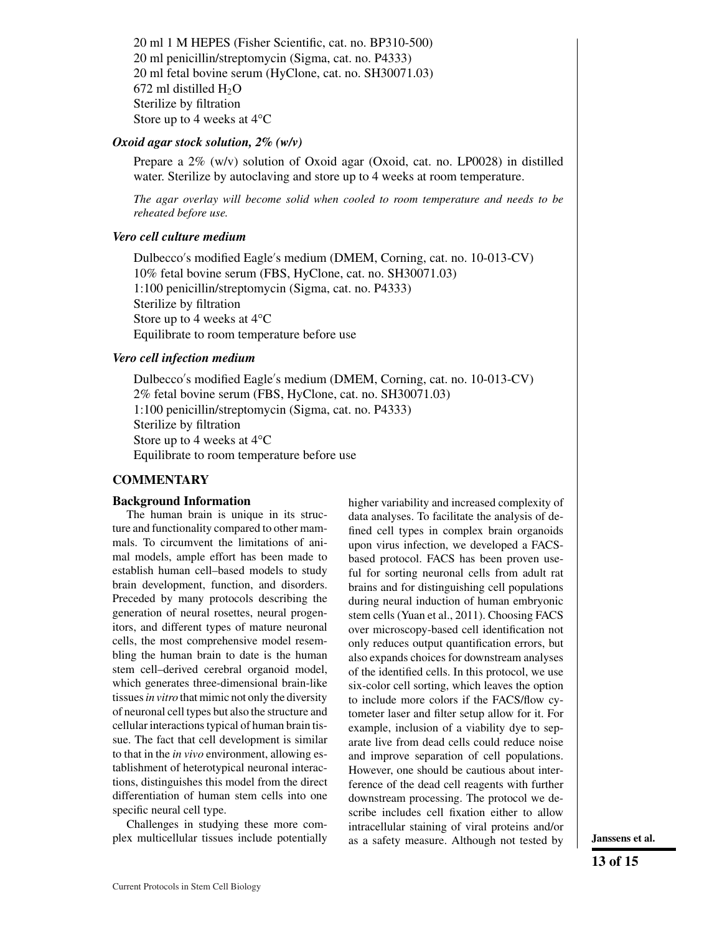20 ml 1 M HEPES (Fisher Scientific, cat. no. BP310-500) 20 ml penicillin/streptomycin (Sigma, cat. no. P4333) 20 ml fetal bovine serum (HyClone, cat. no. SH30071.03) 672 ml distilled  $H_2O$ Sterilize by filtration Store up to 4 weeks at 4°C

#### *Oxoid agar stock solution, 2% (w/v)*

Prepare a 2% (w/v) solution of Oxoid agar (Oxoid, cat. no. LP0028) in distilled water. Sterilize by autoclaving and store up to 4 weeks at room temperature.

*The agar overlay will become solid when cooled to room temperature and needs to be reheated before use.*

#### *Vero cell culture medium*

Dulbecco s modified Eagle s medium (DMEM, Corning, cat. no. 10-013-CV) 10% fetal bovine serum (FBS, HyClone, cat. no. SH30071.03) 1:100 penicillin/streptomycin (Sigma, cat. no. P4333) Sterilize by filtration Store up to 4 weeks at 4°C Equilibrate to room temperature before use

#### *Vero cell infection medium*

Dulbecco s modified Eagle s medium (DMEM, Corning, cat. no. 10-013-CV) 2% fetal bovine serum (FBS, HyClone, cat. no. SH30071.03) 1:100 penicillin/streptomycin (Sigma, cat. no. P4333) Sterilize by filtration Store up to 4 weeks at 4°C Equilibrate to room temperature before use

## **COMMENTARY**

#### **Background Information**

The human brain is unique in its structure and functionality compared to other mammals. To circumvent the limitations of animal models, ample effort has been made to establish human cell–based models to study brain development, function, and disorders. Preceded by many protocols describing the generation of neural rosettes, neural progenitors, and different types of mature neuronal cells, the most comprehensive model resembling the human brain to date is the human stem cell–derived cerebral organoid model, which generates three-dimensional brain-like tissues*in vitro* that mimic not only the diversity of neuronal cell types but also the structure and cellular interactions typical of human brain tissue. The fact that cell development is similar to that in the *in vivo* environment, allowing establishment of heterotypical neuronal interactions, distinguishes this model from the direct differentiation of human stem cells into one specific neural cell type.

Challenges in studying these more complex multicellular tissues include potentially higher variability and increased complexity of data analyses. To facilitate the analysis of defined cell types in complex brain organoids upon virus infection, we developed a FACSbased protocol. FACS has been proven useful for sorting neuronal cells from adult rat brains and for distinguishing cell populations during neural induction of human embryonic stem cells (Yuan et al., 2011). Choosing FACS over microscopy-based cell identification not only reduces output quantification errors, but also expands choices for downstream analyses of the identified cells. In this protocol, we use six-color cell sorting, which leaves the option to include more colors if the FACS/flow cytometer laser and filter setup allow for it. For example, inclusion of a viability dye to separate live from dead cells could reduce noise and improve separation of cell populations. However, one should be cautious about interference of the dead cell reagents with further downstream processing. The protocol we describe includes cell fixation either to allow intracellular staining of viral proteins and/or as a safety measure. Although not tested by **Janssens et al.**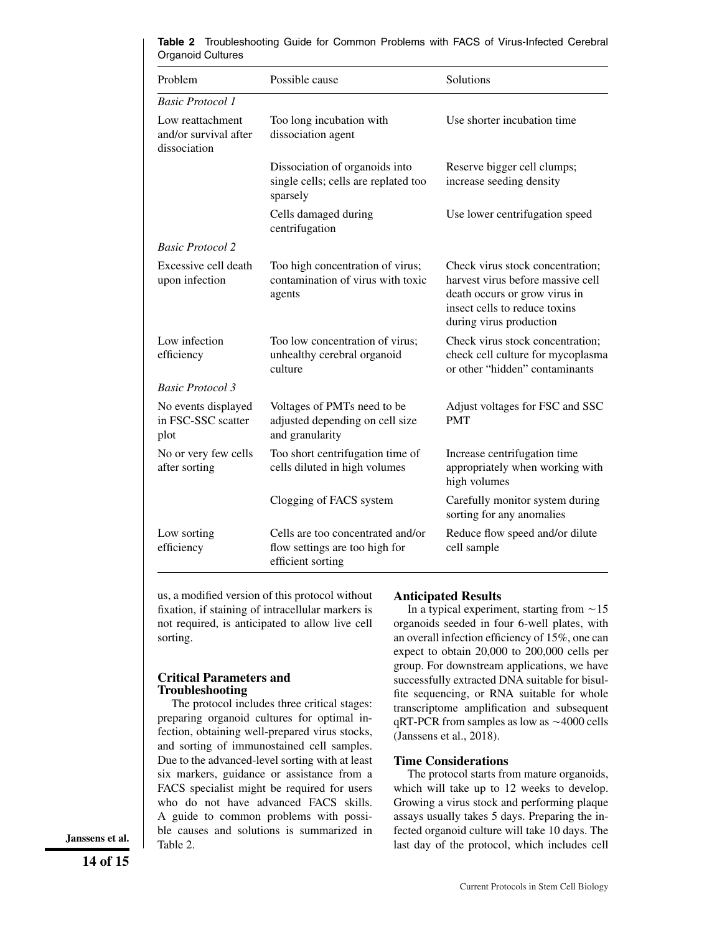| Problem                                                   | Possible cause                                                                           | Solutions                                                                                                                                                          |  |
|-----------------------------------------------------------|------------------------------------------------------------------------------------------|--------------------------------------------------------------------------------------------------------------------------------------------------------------------|--|
| <b>Basic Protocol 1</b>                                   |                                                                                          |                                                                                                                                                                    |  |
| Low reattachment<br>and/or survival after<br>dissociation | Too long incubation with<br>dissociation agent                                           | Use shorter incubation time                                                                                                                                        |  |
|                                                           | Dissociation of organoids into<br>single cells; cells are replated too<br>sparsely       | Reserve bigger cell clumps;<br>increase seeding density                                                                                                            |  |
|                                                           | Cells damaged during<br>centrifugation                                                   | Use lower centrifugation speed                                                                                                                                     |  |
| <b>Basic Protocol 2</b>                                   |                                                                                          |                                                                                                                                                                    |  |
| Excessive cell death<br>upon infection                    | Too high concentration of virus;<br>contamination of virus with toxic<br>agents          | Check virus stock concentration;<br>harvest virus before massive cell<br>death occurs or grow virus in<br>insect cells to reduce toxins<br>during virus production |  |
| Low infection<br>efficiency                               | Too low concentration of virus;<br>unhealthy cerebral organoid<br>culture                | Check virus stock concentration;<br>check cell culture for mycoplasma<br>or other "hidden" contaminants                                                            |  |
| <b>Basic Protocol 3</b>                                   |                                                                                          |                                                                                                                                                                    |  |
| No events displayed<br>in FSC-SSC scatter<br>plot         | Voltages of PMTs need to be<br>adjusted depending on cell size<br>and granularity        | Adjust voltages for FSC and SSC<br><b>PMT</b>                                                                                                                      |  |
| No or very few cells<br>after sorting                     | Too short centrifugation time of<br>cells diluted in high volumes                        | Increase centrifugation time<br>appropriately when working with<br>high volumes                                                                                    |  |
|                                                           | Clogging of FACS system                                                                  | Carefully monitor system during<br>sorting for any anomalies                                                                                                       |  |
| Low sorting<br>efficiency                                 | Cells are too concentrated and/or<br>flow settings are too high for<br>efficient sorting | Reduce flow speed and/or dilute<br>cell sample                                                                                                                     |  |

**Table 2** Troubleshooting Guide for Common Problems with FACS of Virus-Infected Cerebral Organoid Cultures

us, a modified version of this protocol without fixation, if staining of intracellular markers is not required, is anticipated to allow live cell sorting.

#### **Critical Parameters and Troubleshooting**

The protocol includes three critical stages: preparing organoid cultures for optimal infection, obtaining well-prepared virus stocks, and sorting of immunostained cell samples. Due to the advanced-level sorting with at least six markers, guidance or assistance from a FACS specialist might be required for users who do not have advanced FACS skills. A guide to common problems with possible causes and solutions is summarized in Table 2.

#### **Anticipated Results**

In a typical experiment, starting from  $\sim$  15 organoids seeded in four 6-well plates, with an overall infection efficiency of 15%, one can expect to obtain 20,000 to 200,000 cells per group. For downstream applications, we have successfully extracted DNA suitable for bisulfite sequencing, or RNA suitable for whole transcriptome amplification and subsequent  $qRT$ -PCR from samples as low as  $\sim$  4000 cells (Janssens et al., 2018).

#### **Time Considerations**

The protocol starts from mature organoids, which will take up to 12 weeks to develop. Growing a virus stock and performing plaque assays usually takes 5 days. Preparing the infected organoid culture will take 10 days. The **Janssens et al.** Table 2. Inc. botations is summarized in the collection gambia entire with the protocol, which includes cell  $\frac{1}{2}$